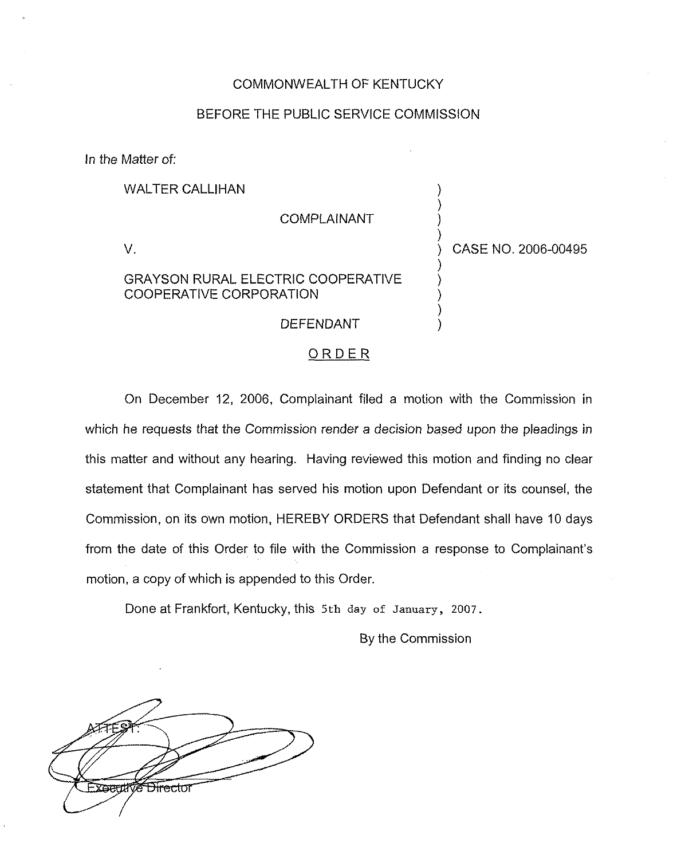## COMMONWEALTH OF KENTUCKY

## BEFORE THE PUBLIC SERVICE COMMISSION

In the Matter of:

WALTER CALLIHAN

COMPLAINANT

 $V_{\rm c}$ 

## GRAYSON RURAL ELECTRIC COOPERATIVE COOPERATIVE CORPORATION

) CASE NO. 2006-00495

) ) ) )

) ) ) ) )

## ORDER

DEFENDANT

On December 12, 2006, Complainant filed a motion with the Commission in which he requests that the Commission render a decision based upon the pleadings in this matter and without any hearing. Having reviewed this motion and finding no clear statement that Complainant has served his motion upon Defendant or its counsel, the Commission, on its own motion, HEREBY ORDERS that Defendant shall have 10 days from the date of this Order to file with the Commission a response to Complainant's motion, a copy of which is appended to this Order.

Done at Frankfort, Kentucky, this 5th day of January, 2007.

By the Commission

<del>Directo</del>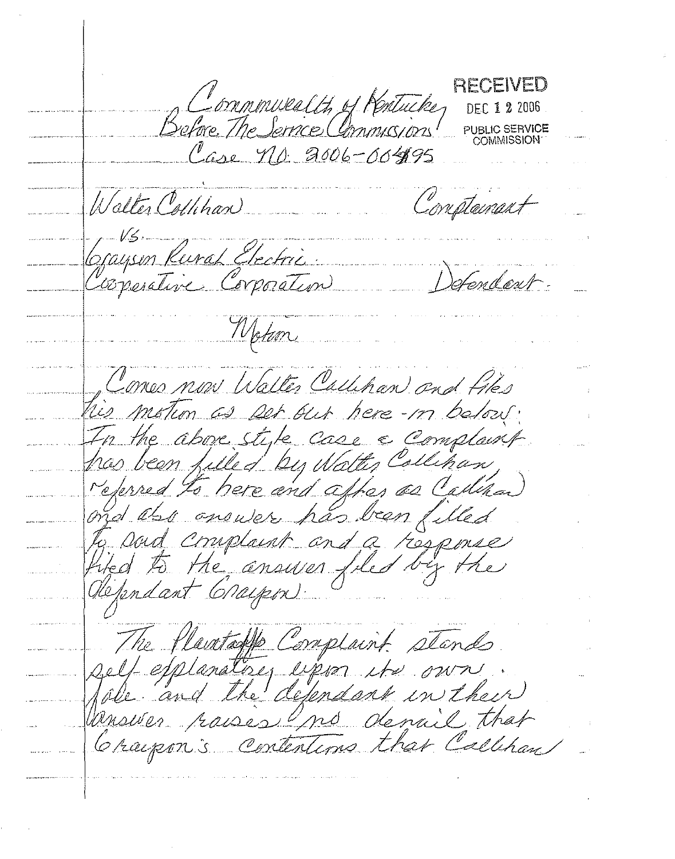RECEIVED Conninuealt, of Rentucke DEC 1 2 2006 PUBLIC SERVICE **COMMISSION** Case no 2006-00495 Walter Collibran Compteinant Gayson Rural Electric tendert. Wotson Comes now Walter Callihan and Files tis motion as per our here-in balow. In the above style case a complaint. has been filled by Watter Collinan, referred to here and after as Calian ond also answer has been filled to Dord Cruplaint and a response filed to the answer filed by the defendant Graspon: The flavetaffe Complaint stands self efplanatises upon its own. Vanswer raises mo demail that Craipon's contentions that Callihan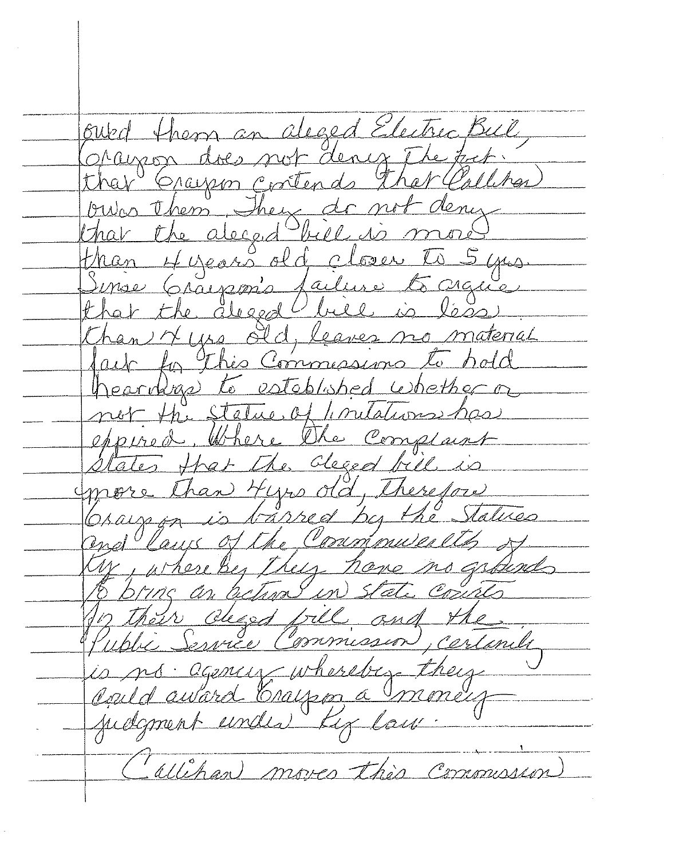ourd them an aleged Electric Bull, Oragon does not dency The fict.  $\frac{2}{1-\alpha}$ our them, They do not that the deced bill is more<br>than 4 years old closer to 5 yes.<br>Sinse Grayson's failure to crace.<br>than 4 yes old, leaves no moterial fait for this Commissions to hold heardras to established whether or not the Stelue of limitations has more than type old, therefore<br>Graup in is barred by the Statues ns grands an action in S Their cligd fill con, certanile is no agency whereber they allihan moves this Commission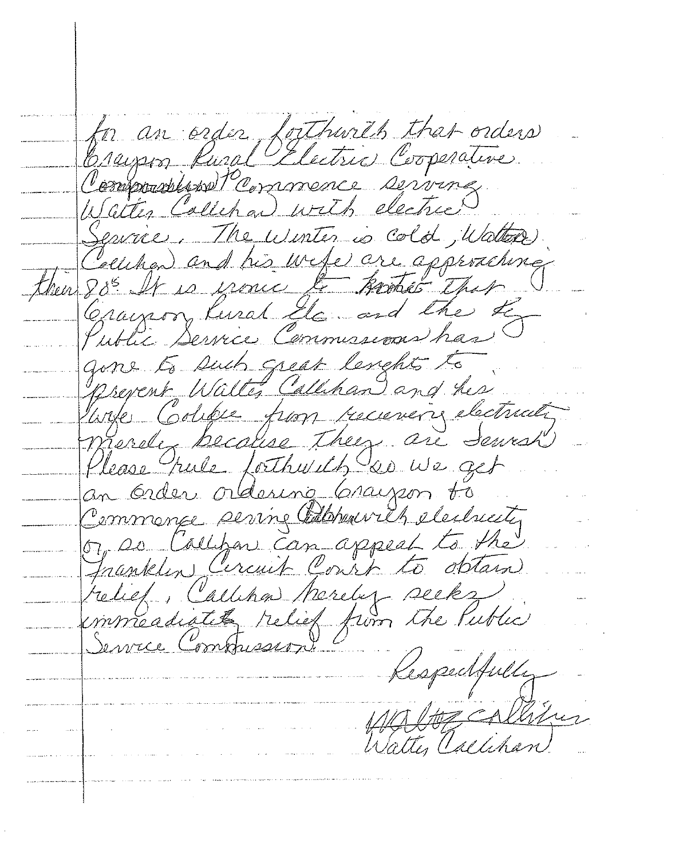for an order forthwith that orders Crains Rural Electric Cooperative Walter Callepan with electric Service. The winter is cold, Watter han and his wefe are a then  $88^{\circ}$ Crayson Kural Ele and the to gone to such great lengths to prevent Walte, Callihan and his merele because they are Servesh Please pule forthwill so we get yen to Order ordesing Grayson to Commange serving Calabour app Jnantelin Circuit Conrt l commeadiate relie Service Commissio Kespedfully Walter Calihan